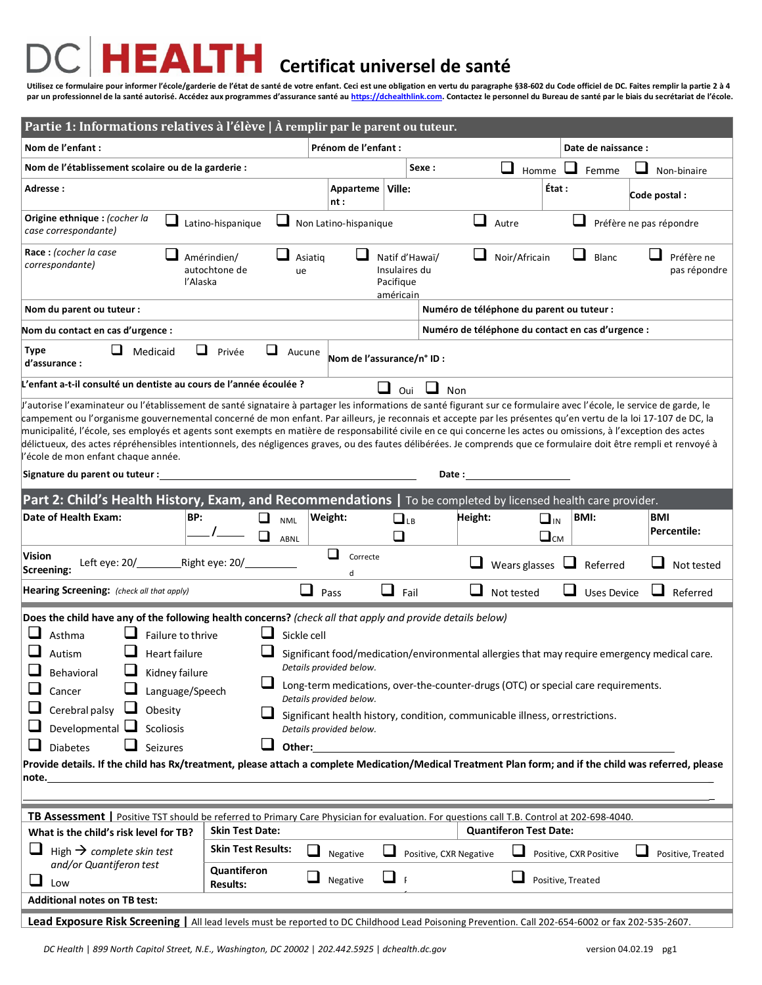## **Certificat universel de santé**

**Utilisez ce formulaire pour informer l'école/garderie de l'état de santé de votre enfant. Ceci est une obligation en vertu du paragraphe §38-602 du Code officiel de DC. Faites remplir la partie 2 à 4 par un professionnel de la santé autorisé. Accédez aux programmes d'assurance santé a[u https://dchealthlink.com.](https://dchealthlink.com/) Contactez le personnel du Bureau de santé par le biais du secrétariat de l'école.**

| Partie 1: Informations relatives à l'élève   À remplir par le parent ou tuteur.                                                                                                                                                                                                                                                                                                                                                                                                                                                                                                                                                                                                                                                                                                                                                                                                                                                                                                                                                                                                                                                                                                                                                                                                                                                                                                                                                           |                                               |                           |                                                           |                                                   |                                                                |                                     |  |
|-------------------------------------------------------------------------------------------------------------------------------------------------------------------------------------------------------------------------------------------------------------------------------------------------------------------------------------------------------------------------------------------------------------------------------------------------------------------------------------------------------------------------------------------------------------------------------------------------------------------------------------------------------------------------------------------------------------------------------------------------------------------------------------------------------------------------------------------------------------------------------------------------------------------------------------------------------------------------------------------------------------------------------------------------------------------------------------------------------------------------------------------------------------------------------------------------------------------------------------------------------------------------------------------------------------------------------------------------------------------------------------------------------------------------------------------|-----------------------------------------------|---------------------------|-----------------------------------------------------------|---------------------------------------------------|----------------------------------------------------------------|-------------------------------------|--|
| Nom de l'enfant :                                                                                                                                                                                                                                                                                                                                                                                                                                                                                                                                                                                                                                                                                                                                                                                                                                                                                                                                                                                                                                                                                                                                                                                                                                                                                                                                                                                                                         |                                               | Prénom de l'enfant :      |                                                           |                                                   |                                                                | Date de naissance :                 |  |
| Nom de l'établissement scolaire ou de la garderie :                                                                                                                                                                                                                                                                                                                                                                                                                                                                                                                                                                                                                                                                                                                                                                                                                                                                                                                                                                                                                                                                                                                                                                                                                                                                                                                                                                                       |                                               |                           | Sexe :                                                    |                                                   | Homme $\Box$                                                   | Femme<br>Non-binaire                |  |
| Adresse :                                                                                                                                                                                                                                                                                                                                                                                                                                                                                                                                                                                                                                                                                                                                                                                                                                                                                                                                                                                                                                                                                                                                                                                                                                                                                                                                                                                                                                 |                                               | Apparteme   Ville:<br>nt: |                                                           |                                                   | État :                                                         | Code postal :                       |  |
| Origine ethnique : (cocher la<br>case correspondante)                                                                                                                                                                                                                                                                                                                                                                                                                                                                                                                                                                                                                                                                                                                                                                                                                                                                                                                                                                                                                                                                                                                                                                                                                                                                                                                                                                                     | Latino-hispanique                             | Non Latino-hispanique     |                                                           | Autre                                             |                                                                | Préfère ne pas répondre             |  |
| Race: (cocher la case<br>correspondante)<br>l'Alaska                                                                                                                                                                                                                                                                                                                                                                                                                                                                                                                                                                                                                                                                                                                                                                                                                                                                                                                                                                                                                                                                                                                                                                                                                                                                                                                                                                                      | Amérindien/<br>Asiatig<br>autochtone de<br>ue |                           | Natif d'Hawaï/<br>Insulaires du<br>Pacifique<br>américain | Noir/Africain                                     |                                                                | Blanc<br>Préfère ne<br>pas répondre |  |
| Nom du parent ou tuteur :                                                                                                                                                                                                                                                                                                                                                                                                                                                                                                                                                                                                                                                                                                                                                                                                                                                                                                                                                                                                                                                                                                                                                                                                                                                                                                                                                                                                                 |                                               |                           |                                                           | Numéro de téléphone du parent ou tuteur :         |                                                                |                                     |  |
| Nom du contact en cas d'urgence :                                                                                                                                                                                                                                                                                                                                                                                                                                                                                                                                                                                                                                                                                                                                                                                                                                                                                                                                                                                                                                                                                                                                                                                                                                                                                                                                                                                                         |                                               |                           |                                                           | Numéro de téléphone du contact en cas d'urgence : |                                                                |                                     |  |
| Q<br><b>Type</b><br>⊔<br>u<br>Medicaid<br>Privée<br>Aucune<br>Nom de l'assurance/n°ID :<br>d'assurance :                                                                                                                                                                                                                                                                                                                                                                                                                                                                                                                                                                                                                                                                                                                                                                                                                                                                                                                                                                                                                                                                                                                                                                                                                                                                                                                                  |                                               |                           |                                                           |                                                   |                                                                |                                     |  |
| L'enfant a-t-il consulté un dentiste au cours de l'année écoulée ?                                                                                                                                                                                                                                                                                                                                                                                                                                                                                                                                                                                                                                                                                                                                                                                                                                                                                                                                                                                                                                                                                                                                                                                                                                                                                                                                                                        |                                               |                           | ┚<br>ப<br>Oui                                             | Non                                               |                                                                |                                     |  |
| l'autorise l'examinateur ou l'établissement de santé signataire à partager les informations de santé figurant sur ce formulaire avec l'école, le service de garde, le<br>campement ou l'organisme gouvernemental concerné de mon enfant. Par ailleurs, je reconnais et accepte par les présentes qu'en vertu de la loi 17-107 de DC, la<br>municipalité, l'école, ses employés et agents sont exempts en matière de responsabilité civile en ce qui concerne les actes ou omissions, à l'exception des actes<br>délictueux, des actes répréhensibles intentionnels, des négligences graves, ou des fautes délibérées. Je comprends que ce formulaire doit être rempli et renvoyé à<br>l'école de mon enfant chaque année.<br>Date: the contract of the contract of the contract of the contract of the contract of the contract of the contract of the contract of the contract of the contract of the contract of the contract of the contract of the cont<br>Signature du parent ou tuteur :                                                                                                                                                                                                                                                                                                                                                                                                                                            |                                               |                           |                                                           |                                                   |                                                                |                                     |  |
| Part 2: Child's Health History, Exam, and Recommendations   To be completed by licensed health care provider.                                                                                                                                                                                                                                                                                                                                                                                                                                                                                                                                                                                                                                                                                                                                                                                                                                                                                                                                                                                                                                                                                                                                                                                                                                                                                                                             |                                               |                           |                                                           |                                                   |                                                                |                                     |  |
| Date of Health Exam:<br>BP:                                                                                                                                                                                                                                                                                                                                                                                                                                                                                                                                                                                                                                                                                                                                                                                                                                                                                                                                                                                                                                                                                                                                                                                                                                                                                                                                                                                                               | ப<br><b>NML</b><br>◻<br>ABNL                  | Weight:                   | $\Box$ LB<br>□                                            | Height:                                           | <b>BMI:</b><br>$\Box$ <sub>IN</sub><br>$\square$ <sub>CM</sub> | BMI<br>Percentile:                  |  |
| Vision<br><b>Screening:</b>                                                                                                                                                                                                                                                                                                                                                                                                                                                                                                                                                                                                                                                                                                                                                                                                                                                                                                                                                                                                                                                                                                                                                                                                                                                                                                                                                                                                               |                                               | ❏<br>Correcte<br>d        |                                                           | Wears glasses                                     | $\overline{\phantom{a}}$                                       | Referred<br>Not tested              |  |
| Hearing Screening: (check all that apply)                                                                                                                                                                                                                                                                                                                                                                                                                                                                                                                                                                                                                                                                                                                                                                                                                                                                                                                                                                                                                                                                                                                                                                                                                                                                                                                                                                                                 | $\Box$                                        | Pass                      | ⊔<br>Fail                                                 | Not tested                                        | $\overline{\phantom{a}}$                                       | ⊔<br><b>Uses Device</b><br>Referred |  |
| Does the child have any of the following health concerns? (check all that apply and provide details below)<br>Sickle cell<br>Asthma<br>Failure to thrive<br>Heart failure<br>Autism<br>Significant food/medication/environmental allergies that may require emergency medical care.<br>Details provided below.<br>⊔<br>Kidney failure<br>Behavioral<br>Long-term medications, over-the-counter-drugs (OTC) or special care requirements.<br>Cancer<br>Language/Speech<br>Details provided below.<br>Cerebral palsy $\Box$<br>Obesity<br>Significant health history, condition, communicable illness, or restrictions.<br>Developmental $\Box$ Scoliosis<br>Details provided below.<br>u<br>⊔<br><b>Diabetes</b><br>Seizures<br>Other:<br>Provide details. If the child has Rx/treatment, please attach a complete Medication/Medical Treatment Plan form; and if the child was referred, please<br>note.<br>TB Assessment   Positive TST should be referred to Primary Care Physician for evaluation. For questions call T.B. Control at 202-698-4040.<br><b>Quantiferon Test Date:</b><br><b>Skin Test Date:</b><br>What is the child's risk level for TB?<br><b>Skin Test Results:</b><br>High $\rightarrow$ complete skin test<br>$\Box$ Negative<br>Positive, CXR Negative<br>Positive, CXR Positive<br>Positive, Treated<br>and/or Quantiferon test<br>Quantiferon<br>⊔ ⊢<br>Positive, Treated<br>Negative<br>Low<br><b>Results:</b> |                                               |                           |                                                           |                                                   |                                                                |                                     |  |
| <b>Additional notes on TB test:</b>                                                                                                                                                                                                                                                                                                                                                                                                                                                                                                                                                                                                                                                                                                                                                                                                                                                                                                                                                                                                                                                                                                                                                                                                                                                                                                                                                                                                       |                                               |                           |                                                           |                                                   |                                                                |                                     |  |
| Lead Exposure Risk Screening   All lead levels must be reported to DC Childhood Lead Poisoning Prevention. Call 202-654-6002 or fax 202-535-2607.                                                                                                                                                                                                                                                                                                                                                                                                                                                                                                                                                                                                                                                                                                                                                                                                                                                                                                                                                                                                                                                                                                                                                                                                                                                                                         |                                               |                           |                                                           |                                                   |                                                                |                                     |  |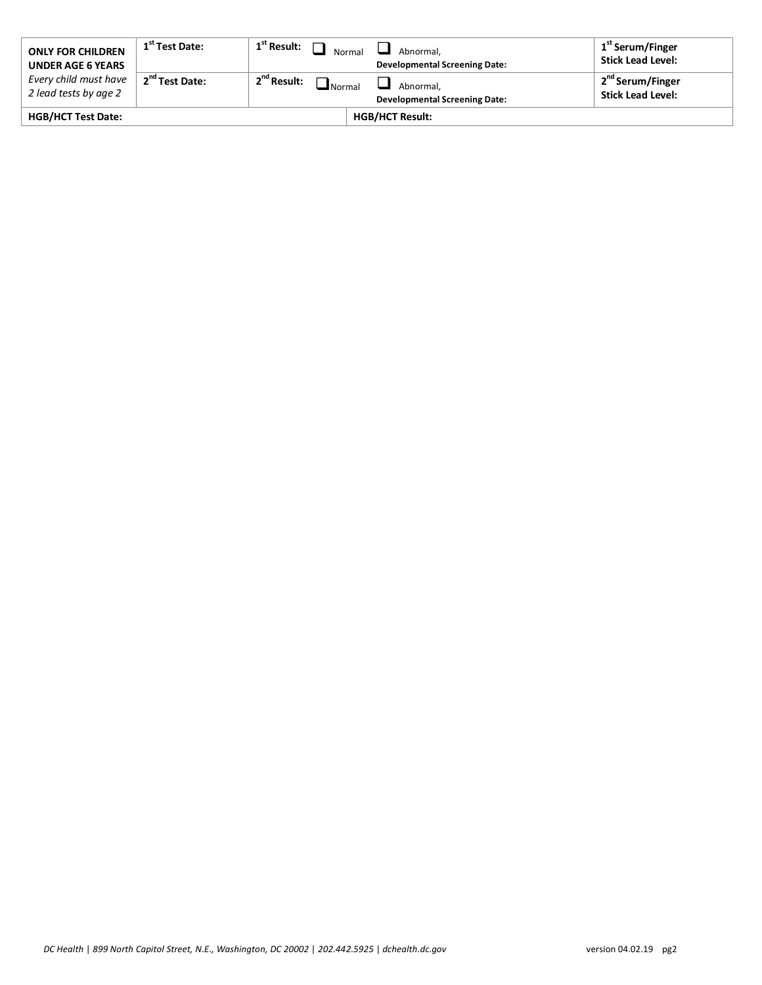| <b>ONLY FOR CHILDREN</b><br><b>UNDER AGE 6 YEARS</b> | 1 <sup>st</sup> Test Date: | $\perp$ 1 <sup>st</sup> Result: $\Box$   | Normal<br>Abnormal.<br><b>Developmental Screening Date:</b> | 1 <sup>st</sup> Serum/Finger<br><b>Stick Lead Level:</b> |
|------------------------------------------------------|----------------------------|------------------------------------------|-------------------------------------------------------------|----------------------------------------------------------|
| Every child must have<br>2 lead tests by age 2       | 2 <sup>nd</sup> Test Date: | 2 <sup>nd</sup> Result:<br>$\Box$ Normal | Abnormal.<br><b>Developmental Screening Date:</b>           | 2 <sup>nd</sup> Serum/Finger<br><b>Stick Lead Level:</b> |
| <b>HGB/HCT Test Date:</b>                            |                            |                                          | <b>HGB/HCT Result:</b>                                      |                                                          |